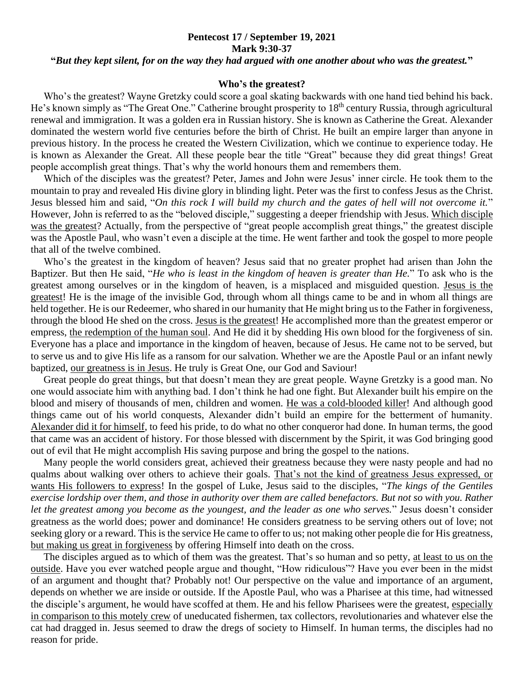## **Pentecost 17 / September 19, 2021 Mark 9:30-37 "***But they kept silent, for on the way they had argued with one another about who was the greatest.***"**

## **Who's the greatest?**

 Who's the greatest? Wayne Gretzky could score a goal skating backwards with one hand tied behind his back. He's known simply as "The Great One." Catherine brought prosperity to 18<sup>th</sup> century Russia, through agricultural renewal and immigration. It was a golden era in Russian history. She is known as Catherine the Great. Alexander dominated the western world five centuries before the birth of Christ. He built an empire larger than anyone in previous history. In the process he created the Western Civilization, which we continue to experience today. He is known as Alexander the Great. All these people bear the title "Great" because they did great things! Great people accomplish great things. That's why the world honours them and remembers them.

 Which of the disciples was the greatest? Peter, James and John were Jesus' inner circle. He took them to the mountain to pray and revealed His divine glory in blinding light. Peter was the first to confess Jesus as the Christ. Jesus blessed him and said, "*On this rock I will build my church and the gates of hell will not overcome it.*" However, John is referred to as the "beloved disciple," suggesting a deeper friendship with Jesus. Which disciple was the greatest? Actually, from the perspective of "great people accomplish great things," the greatest disciple was the Apostle Paul, who wasn't even a disciple at the time. He went farther and took the gospel to more people that all of the twelve combined.

 Who's the greatest in the kingdom of heaven? Jesus said that no greater prophet had arisen than John the Baptizer. But then He said, "*He who is least in the kingdom of heaven is greater than He.*" To ask who is the greatest among ourselves or in the kingdom of heaven, is a misplaced and misguided question. Jesus is the greatest! He is the image of the invisible God, through whom all things came to be and in whom all things are held together. He is our Redeemer, who shared in our humanity that He might bring us to the Father in forgiveness, through the blood He shed on the cross. Jesus is the greatest! He accomplished more than the greatest emperor or empress, the redemption of the human soul. And He did it by shedding His own blood for the forgiveness of sin. Everyone has a place and importance in the kingdom of heaven, because of Jesus. He came not to be served, but to serve us and to give His life as a ransom for our salvation. Whether we are the Apostle Paul or an infant newly baptized, our greatness is in Jesus. He truly is Great One, our God and Saviour!

 Great people do great things, but that doesn't mean they are great people. Wayne Gretzky is a good man. No one would associate him with anything bad. I don't think he had one fight. But Alexander built his empire on the blood and misery of thousands of men, children and women. He was a cold-blooded killer! And although good things came out of his world conquests, Alexander didn't build an empire for the betterment of humanity. Alexander did it for himself, to feed his pride, to do what no other conqueror had done. In human terms, the good that came was an accident of history. For those blessed with discernment by the Spirit, it was God bringing good out of evil that He might accomplish His saving purpose and bring the gospel to the nations.

 Many people the world considers great, achieved their greatness because they were nasty people and had no qualms about walking over others to achieve their goals. That's not the kind of greatness Jesus expressed, or wants His followers to express! In the gospel of Luke, Jesus said to the disciples, "*The kings of the Gentiles exercise lordship over them, and those in authority over them are called benefactors. But not so with you. Rather let the greatest among you become as the youngest, and the leader as one who serves.*" Jesus doesn't consider greatness as the world does; power and dominance! He considers greatness to be serving others out of love; not seeking glory or a reward. This is the service He came to offer to us; not making other people die for His greatness, but making us great in forgiveness by offering Himself into death on the cross.

 The disciples argued as to which of them was the greatest. That's so human and so petty, at least to us on the outside. Have you ever watched people argue and thought, "How ridiculous"? Have you ever been in the midst of an argument and thought that? Probably not! Our perspective on the value and importance of an argument, depends on whether we are inside or outside. If the Apostle Paul, who was a Pharisee at this time, had witnessed the disciple's argument, he would have scoffed at them. He and his fellow Pharisees were the greatest, especially in comparison to this motely crew of uneducated fishermen, tax collectors, revolutionaries and whatever else the cat had dragged in. Jesus seemed to draw the dregs of society to Himself. In human terms, the disciples had no reason for pride.